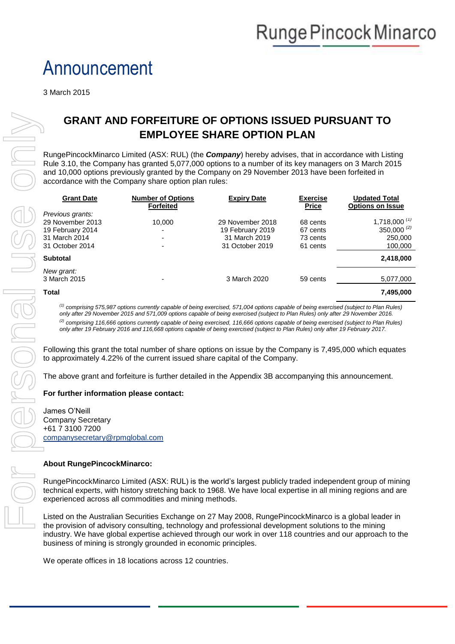# Announcement

3 March 2015

### **GRANT AND FORFEITURE OF OPTIONS ISSUED PURSUANT TO EMPLOYEE SHARE OPTION PLAN**

| <b>GRANT AND FORFEITURE OF OPTIONS ISSUED PURSUANT TO</b>                                                                                                                                                                                                                                                                                                               |                                                                                                                                                                                                                                                                                                                                                                                                                                                                                                                                                                          |                                                                                                                                                                                                                                                                                                                                                                                                  |                                                                          |                                              |                                                           |
|-------------------------------------------------------------------------------------------------------------------------------------------------------------------------------------------------------------------------------------------------------------------------------------------------------------------------------------------------------------------------|--------------------------------------------------------------------------------------------------------------------------------------------------------------------------------------------------------------------------------------------------------------------------------------------------------------------------------------------------------------------------------------------------------------------------------------------------------------------------------------------------------------------------------------------------------------------------|--------------------------------------------------------------------------------------------------------------------------------------------------------------------------------------------------------------------------------------------------------------------------------------------------------------------------------------------------------------------------------------------------|--------------------------------------------------------------------------|----------------------------------------------|-----------------------------------------------------------|
|                                                                                                                                                                                                                                                                                                                                                                         |                                                                                                                                                                                                                                                                                                                                                                                                                                                                                                                                                                          |                                                                                                                                                                                                                                                                                                                                                                                                  | <b>EMPLOYEE SHARE OPTION PLAN</b>                                        |                                              |                                                           |
| RungePincockMinarco Limited (ASX: RUL) (the Company) hereby advises, that in accordance with Listing<br>Rule 3.10, the Company has granted 5,077,000 options to a number of its key managers on 3 March 2015<br>and 10,000 options previously granted by the Company on 29 November 2013 have been forfeited in<br>accordance with the Company share option plan rules: |                                                                                                                                                                                                                                                                                                                                                                                                                                                                                                                                                                          |                                                                                                                                                                                                                                                                                                                                                                                                  |                                                                          |                                              |                                                           |
|                                                                                                                                                                                                                                                                                                                                                                         | <b>Grant Date</b>                                                                                                                                                                                                                                                                                                                                                                                                                                                                                                                                                        | <b>Number of Options</b><br><b>Forfeited</b>                                                                                                                                                                                                                                                                                                                                                     | <b>Expiry Date</b>                                                       | <b>Exercise</b><br><b>Price</b>              | <b>Updated Total</b><br><b>Options on Issue</b>           |
|                                                                                                                                                                                                                                                                                                                                                                         | Previous grants:<br>29 November 2013<br>19 February 2014<br>31 March 2014<br>31 October 2014                                                                                                                                                                                                                                                                                                                                                                                                                                                                             | 10,000                                                                                                                                                                                                                                                                                                                                                                                           | 29 November 2018<br>19 February 2019<br>31 March 2019<br>31 October 2019 | 68 cents<br>67 cents<br>73 cents<br>61 cents | 1,718,000 $(1)$<br>350,000 $^{(2)}$<br>250,000<br>100,000 |
|                                                                                                                                                                                                                                                                                                                                                                         | <b>Subtotal</b>                                                                                                                                                                                                                                                                                                                                                                                                                                                                                                                                                          |                                                                                                                                                                                                                                                                                                                                                                                                  |                                                                          |                                              | 2,418,000                                                 |
|                                                                                                                                                                                                                                                                                                                                                                         | New grant:<br>3 March 2015                                                                                                                                                                                                                                                                                                                                                                                                                                                                                                                                               |                                                                                                                                                                                                                                                                                                                                                                                                  | 3 March 2020                                                             | 59 cents                                     | 5,077,000                                                 |
|                                                                                                                                                                                                                                                                                                                                                                         | <b>Total</b>                                                                                                                                                                                                                                                                                                                                                                                                                                                                                                                                                             |                                                                                                                                                                                                                                                                                                                                                                                                  |                                                                          |                                              | 7,495,000                                                 |
|                                                                                                                                                                                                                                                                                                                                                                         | $^{(1)}$ comprising 575,987 options currently capable of being exercised, 571,004 options capable of being exercised (subject to Plan Rules)<br>only after 29 November 2015 and 571,009 options capable of being exercised (subject to Plan Rules) only after 29 November 2016.<br><sup>(2)</sup> comprising 116,666 options currently capable of being exercised, 116,666 options capable of being exercised (subject to Plan Rules)<br>only after 19 February 2016 and 116,668 options capable of being exercised (subject to Plan Rules) only after 19 February 2017. |                                                                                                                                                                                                                                                                                                                                                                                                  |                                                                          |                                              |                                                           |
|                                                                                                                                                                                                                                                                                                                                                                         | Following this grant the total number of share options on issue by the Company is 7,495,000 which equates<br>to approximately 4.22% of the current issued share capital of the Company.                                                                                                                                                                                                                                                                                                                                                                                  |                                                                                                                                                                                                                                                                                                                                                                                                  |                                                                          |                                              |                                                           |
|                                                                                                                                                                                                                                                                                                                                                                         | The above grant and forfeiture is further detailed in the Appendix 3B accompanying this announcement.                                                                                                                                                                                                                                                                                                                                                                                                                                                                    |                                                                                                                                                                                                                                                                                                                                                                                                  |                                                                          |                                              |                                                           |
|                                                                                                                                                                                                                                                                                                                                                                         | For further information please contact:                                                                                                                                                                                                                                                                                                                                                                                                                                                                                                                                  |                                                                                                                                                                                                                                                                                                                                                                                                  |                                                                          |                                              |                                                           |
|                                                                                                                                                                                                                                                                                                                                                                         | James O'Neill<br><b>Company Secretary</b><br>+61 7 3100 7200<br>companysecretary@rpmglobal.com                                                                                                                                                                                                                                                                                                                                                                                                                                                                           |                                                                                                                                                                                                                                                                                                                                                                                                  |                                                                          |                                              |                                                           |
|                                                                                                                                                                                                                                                                                                                                                                         | <b>About RungePincockMinarco:</b>                                                                                                                                                                                                                                                                                                                                                                                                                                                                                                                                        |                                                                                                                                                                                                                                                                                                                                                                                                  |                                                                          |                                              |                                                           |
|                                                                                                                                                                                                                                                                                                                                                                         | RungePincockMinarco Limited (ASX: RUL) is the world's largest publicly traded independent group of mining<br>technical experts, with history stretching back to 1968. We have local expertise in all mining regions and are<br>experienced across all commodities and mining methods.                                                                                                                                                                                                                                                                                    |                                                                                                                                                                                                                                                                                                                                                                                                  |                                                                          |                                              |                                                           |
|                                                                                                                                                                                                                                                                                                                                                                         |                                                                                                                                                                                                                                                                                                                                                                                                                                                                                                                                                                          | Listed on the Australian Securities Exchange on 27 May 2008, RungePincockMinarco is a global leader in<br>the provision of advisory consulting, technology and professional development solutions to the mining<br>industry. We have global expertise achieved through our work in over 118 countries and our approach to the<br>business of mining is strongly grounded in economic principles. |                                                                          |                                              |                                                           |
|                                                                                                                                                                                                                                                                                                                                                                         |                                                                                                                                                                                                                                                                                                                                                                                                                                                                                                                                                                          | We operate offices in 18 locations across 12 countries.                                                                                                                                                                                                                                                                                                                                          |                                                                          |                                              |                                                           |

#### **For further information please contact:**

#### **About RungePincockMinarco:**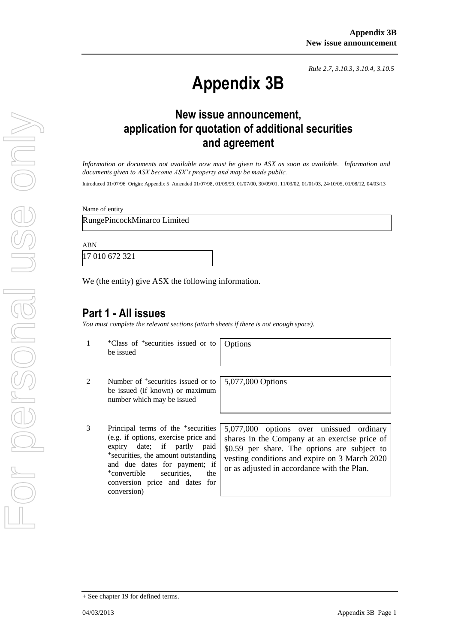*Rule 2.7, 3.10.3, 3.10.4, 3.10.5*

# **Appendix 3B**

## **New issue announcement, application for quotation of additional securities and agreement**

*Information or documents not available now must be given to ASX as soon as available. Information and documents given to ASX become ASX's property and may be made public.*

Introduced 01/07/96 Origin: Appendix 5 Amended 01/07/98, 01/09/99, 01/07/00, 30/09/01, 11/03/02, 01/01/03, 24/10/05, 01/08/12, 04/03/13

Name of entity

RungePincockMinarco Limited

ABN

17 010 672 321

We (the entity) give ASX the following information.

#### **Part 1 - All issues**

*You must complete the relevant sections (attach sheets if there is not enough space).*

1 +Class of +securities issued or to be issued

Options

5,077,000 Options

- 2 Number of <sup>+</sup>securities issued or to be issued (if known) or maximum number which may be issued
- 3 Principal terms of the +securities (e.g. if options, exercise price and expiry date; if partly paid +securities, the amount outstanding and due dates for payment; if +convertible securities, the conversion price and dates for conversion)

5,077,000 options over unissued ordinary shares in the Company at an exercise price of \$0.59 per share. The options are subject to vesting conditions and expire on 3 March 2020 or as adjusted in accordance with the Plan.

<sup>+</sup> See chapter 19 for defined terms.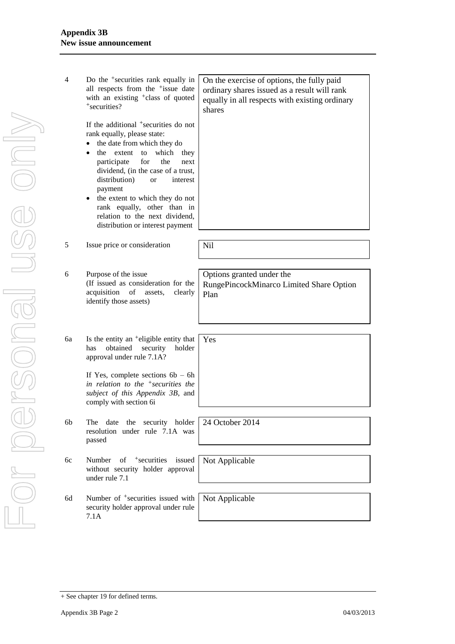| 4  | Do the <sup>+</sup> securities rank equally in<br>all respects from the <sup>+</sup> issue date<br>with an existing <sup>+</sup> class of quoted<br>+securities?                                                                                                                                                                                                                                                                                                       | On the exercise of options, the fully paid<br>ordinary shares issued as a result will rank<br>equally in all respects with existing ordinary<br>shares |
|----|------------------------------------------------------------------------------------------------------------------------------------------------------------------------------------------------------------------------------------------------------------------------------------------------------------------------------------------------------------------------------------------------------------------------------------------------------------------------|--------------------------------------------------------------------------------------------------------------------------------------------------------|
|    | If the additional <sup>+</sup> securities do not<br>rank equally, please state:<br>the date from which they do<br>$\bullet$<br>extent to<br>which<br>the<br>they<br>$\bullet$<br>participate<br>for<br>the<br>next<br>dividend, (in the case of a trust,<br>distribution)<br>interest<br><sub>or</sub><br>payment<br>the extent to which they do not<br>$\bullet$<br>rank equally, other than in<br>relation to the next dividend,<br>distribution or interest payment |                                                                                                                                                        |
| 5  | Issue price or consideration                                                                                                                                                                                                                                                                                                                                                                                                                                           | Nil                                                                                                                                                    |
|    |                                                                                                                                                                                                                                                                                                                                                                                                                                                                        |                                                                                                                                                        |
| 6  | Purpose of the issue<br>(If issued as consideration for the<br>acquisition<br>of<br>assets,<br>clearly<br>identify those assets)                                                                                                                                                                                                                                                                                                                                       | Options granted under the<br>RungePincockMinarco Limited Share Option<br>Plan                                                                          |
|    |                                                                                                                                                                                                                                                                                                                                                                                                                                                                        |                                                                                                                                                        |
| 6a | Is the entity an <sup>+</sup> eligible entity that<br>obtained<br>holder<br>has<br>security<br>approval under rule 7.1A?                                                                                                                                                                                                                                                                                                                                               | Yes                                                                                                                                                    |
|    | If Yes, complete sections $6b - 6h$<br>in relation to the $+$ securities the<br>subject of this Appendix 3B, and<br>comply with section 6i                                                                                                                                                                                                                                                                                                                             |                                                                                                                                                        |
| 6b | date<br>the security holder<br>The                                                                                                                                                                                                                                                                                                                                                                                                                                     | 24 October 2014                                                                                                                                        |
|    | resolution under rule 7.1A was<br>passed                                                                                                                                                                                                                                                                                                                                                                                                                               |                                                                                                                                                        |
| 6c | of <sup>+</sup> securities issued<br>Number                                                                                                                                                                                                                                                                                                                                                                                                                            | Not Applicable                                                                                                                                         |
|    | without security holder approval<br>under rule 7.1                                                                                                                                                                                                                                                                                                                                                                                                                     |                                                                                                                                                        |
| 6d | Number of <sup>+</sup> securities issued with                                                                                                                                                                                                                                                                                                                                                                                                                          | Not Applicable                                                                                                                                         |
|    | security holder approval under rule<br>7.1A                                                                                                                                                                                                                                                                                                                                                                                                                            |                                                                                                                                                        |
|    |                                                                                                                                                                                                                                                                                                                                                                                                                                                                        |                                                                                                                                                        |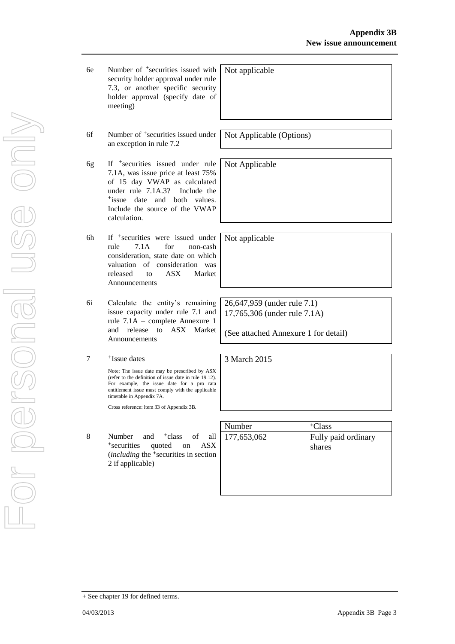- 6f Number of +securities issued under an exception in rule 7.2
- 6g If +securities issued under rule 7.1A, was issue price at least 75% of 15 day VWAP as calculated under rule 7.1A.3? Include the +issue date and both values. Include the source of the VWAP calculation.
- 6h If +securities were issued under rule 7.1A for non-cash consideration, state date on which valuation of consideration was released to ASX Market Announcements
- 6i Calculate the entity's remaining issue capacity under rule 7.1 and rule 7.1A – complete Annexure 1 and release to ASX Market Announcements
- 7 +Issue dates

Note: The issue date may be prescribed by ASX (refer to the definition of issue date in rule 19.12). For example, the issue date for a pro rata entitlement issue must comply with the applicable timetable in Appendix 7A.

Cross reference: item 33 of Appendix 3B.

8 Number and <sup>+</sup>class of all <sup>+</sup>securities quoted on ASX (*including* the <sup>+</sup>securities in section 2 if applicable)

| Number      | <sup>+</sup> Class            |
|-------------|-------------------------------|
| 177,653,062 | Fully paid ordinary<br>shares |
|             |                               |

Not Applicable (Options)

Not Applicable

Not applicable

Not applicable

26,647,959 (under rule 7.1) 17,765,306 (under rule 7.1A)

(See attached Annexure 1 for detail)

3 March 2015

<sup>+</sup> See chapter 19 for defined terms.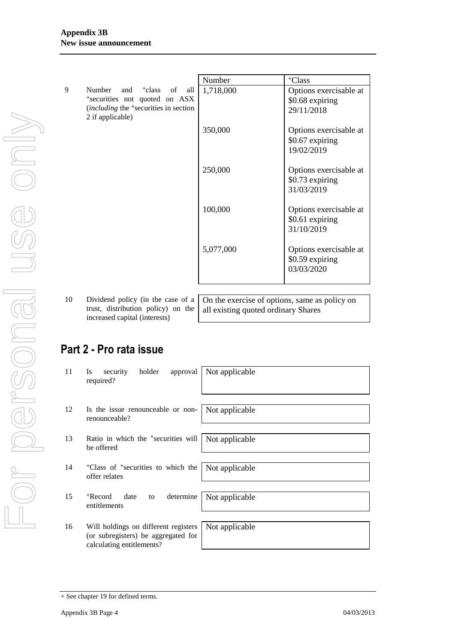|   |                                                                                                                                                           | Number    | <sup>+</sup> Class                                      |
|---|-----------------------------------------------------------------------------------------------------------------------------------------------------------|-----------|---------------------------------------------------------|
| 9 | Number and <sup>+</sup> class of<br>all<br>*securities not quoted on ASX<br><i>(including the <sup>+</sup>securities in section</i> )<br>2 if applicable) | 1,718,000 | Options exercisable at<br>\$0.68 expiring<br>29/11/2018 |
|   |                                                                                                                                                           | 350,000   | Options exercisable at<br>\$0.67 expiring<br>19/02/2019 |
|   |                                                                                                                                                           | 250,000   | Options exercisable at<br>\$0.73 expiring<br>31/03/2019 |
|   |                                                                                                                                                           | 100,000   | Options exercisable at<br>\$0.61 expiring<br>31/10/2019 |
|   |                                                                                                                                                           | 5,077,000 | Options exercisable at<br>\$0.59 expiring<br>03/03/2020 |

10 Dividend policy (in the case of a trust, distribution policy) on the increased capital (interests)

On the exercise of options, same as policy on all existing quoted ordinary Shares

## **Part 2 - Pro rata issue**

| 11 | holder<br>approval<br>security<br><b>Is</b><br>required?                                                 | Not applicable |
|----|----------------------------------------------------------------------------------------------------------|----------------|
| 12 | Is the issue renounceable or non-<br>renounceable?                                                       | Not applicable |
| 13 | Ratio in which the <sup>+</sup> securities will   Not applicable                                         |                |
|    | be offered                                                                                               |                |
| 14 | <sup>+</sup> Class of <sup>+</sup> securities to which the   Not applicable<br>offer relates             |                |
|    |                                                                                                          |                |
| 15 | <sup>+</sup> Record<br>determine<br>date<br>to<br>entitlements                                           | Not applicable |
|    |                                                                                                          |                |
| 16 | Will holdings on different registers<br>(or subregisters) be aggregated for<br>calculating entitlements? | Not applicable |
|    |                                                                                                          |                |

<sup>+</sup> See chapter 19 for defined terms.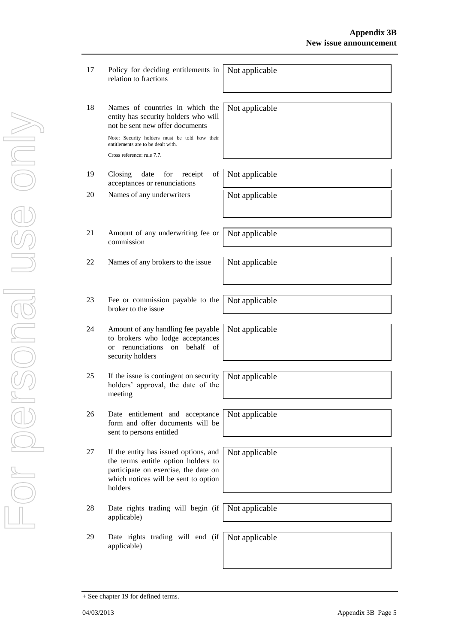| 17 | Policy for deciding entitlements in<br>relation to fractions                                                                                                            | Not applicable |
|----|-------------------------------------------------------------------------------------------------------------------------------------------------------------------------|----------------|
| 18 | Names of countries in which the<br>entity has security holders who will<br>not be sent new offer documents                                                              | Not applicable |
|    | Note: Security holders must be told how their<br>entitlements are to be dealt with.<br>Cross reference: rule 7.7.                                                       |                |
|    |                                                                                                                                                                         |                |
| 19 | Closing<br>date<br>for<br>of<br>receipt<br>acceptances or renunciations                                                                                                 | Not applicable |
| 20 | Names of any underwriters                                                                                                                                               | Not applicable |
|    |                                                                                                                                                                         |                |
| 21 | Amount of any underwriting fee or<br>commission                                                                                                                         | Not applicable |
| 22 | Names of any brokers to the issue                                                                                                                                       | Not applicable |
|    |                                                                                                                                                                         |                |
| 23 | Fee or commission payable to the<br>broker to the issue                                                                                                                 | Not applicable |
| 24 | Amount of any handling fee payable<br>to brokers who lodge acceptances<br>behalf<br>renunciations<br>on<br>- of<br><sub>or</sub><br>security holders                    | Not applicable |
| 25 | If the issue is contingent on security<br>holders' approval, the date of the<br>meeting                                                                                 | Not applicable |
| 26 | Date entitlement and acceptance<br>form and offer documents will be<br>sent to persons entitled                                                                         | Not applicable |
| 27 | If the entity has issued options, and<br>the terms entitle option holders to<br>participate on exercise, the date on<br>which notices will be sent to option<br>holders | Not applicable |
| 28 | Date rights trading will begin (if<br>applicable)                                                                                                                       | Not applicable |
| 29 | Date rights trading will end (if<br>applicable)                                                                                                                         | Not applicable |

<sup>+</sup> See chapter 19 for defined terms.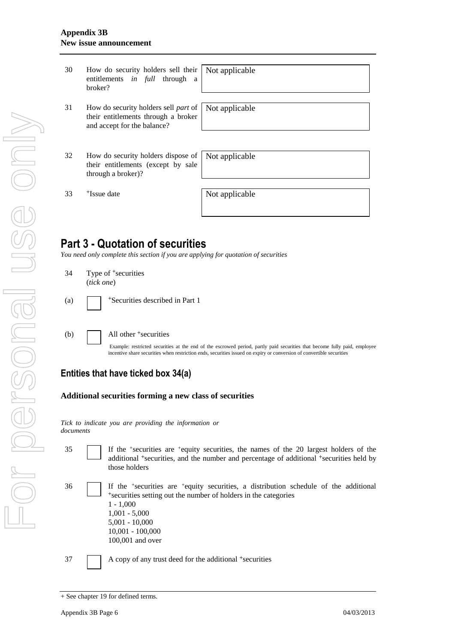| 30 | How do security holders sell their<br>entitlements <i>in full</i> through a<br>broker?                            | Not applicable |
|----|-------------------------------------------------------------------------------------------------------------------|----------------|
| 31 | How do security holders sell <i>part</i> of<br>their entitlements through a broker<br>and accept for the balance? | Not applicable |
| 32 | How do security holders dispose of<br>their entitlements (except by sale<br>through a broker)?                    | Not applicable |
| 33 | <sup>+</sup> Issue date                                                                                           | Not applicable |

### **Part 3 - Quotation of securities**

*You need only complete this section if you are applying for quotation of securities*

| 34  | Type of <sup>+</sup> securities<br>(tick one)                                                                                                                                                                                                                                           |
|-----|-----------------------------------------------------------------------------------------------------------------------------------------------------------------------------------------------------------------------------------------------------------------------------------------|
|     | (a) $\sqrt{\phantom{a}}$ +Securities described in Part 1                                                                                                                                                                                                                                |
| (b) | All other <sup>+</sup> securities<br>Example: restricted securities at the end of the escrowed period, partly paid securities that become fully paid, employee<br>incentive share securities when restriction ends, securities issued on expiry or conversion of convertible securities |

#### **Entities that have ticked box 34(a)**

#### **Additional securities forming a new class of securities**

*Tick to indicate you are providing the information or documents*

- - 35 If the <sup>+</sup> securities are <sup>+</sup>equity securities, the names of the 20 largest holders of the additional <sup>+</sup>securities, and the number and percentage of additional <sup>+</sup>securities held by those holders
- 36 If the <sup>+</sup> securities are <sup>+</sup>equity securities, a distribution schedule of the additional <sup>+</sup>securities setting out the number of holders in the categories 1 - 1,000 1,001 - 5,000 5,001 - 10,000 10,001 - 100,000 100,001 and over

37 A copy of any trust deed for the additional +securities

<sup>+</sup> See chapter 19 for defined terms.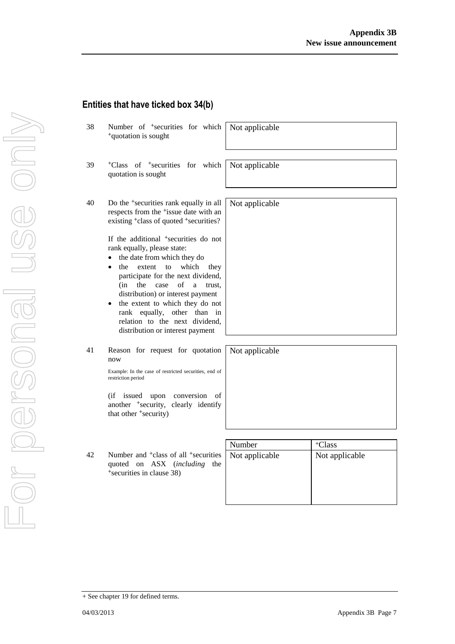+ See chapter 19 for defined terms.

38 Number of <sup>+</sup>securities for which

<sup>+</sup>quotation is sought 39 <sup>+</sup>Class of <sup>+</sup>securities for which quotation is sought Not applicable 40 Do the <sup>+</sup>securities rank equally in all respects from the <sup>+</sup>issue date with an existing <sup>+</sup>class of quoted <sup>+</sup>securities? Not applicable

Not applicable

If the additional <sup>+</sup>securities do not rank equally, please state:

- the date from which they do
- the extent to which they participate for the next dividend, (in the case of a trust, distribution) or interest payment
- the extent to which they do not rank equally, other than in relation to the next dividend, distribution or interest payment
- 41 Reason for request for quotation now

Example: In the case of restricted securities, end of restriction period

(if issued upon conversion of another <sup>+</sup>security, clearly identify that other <sup>+</sup>security)

42 Number and <sup>+</sup>class of all <sup>+</sup>securities quoted on ASX (*including* the <sup>+</sup>securities in clause 38)

| Number         | <sup>+</sup> Class |
|----------------|--------------------|
| Not applicable | Not applicable     |
|                |                    |
|                |                    |
|                |                    |
|                |                    |

Not applicable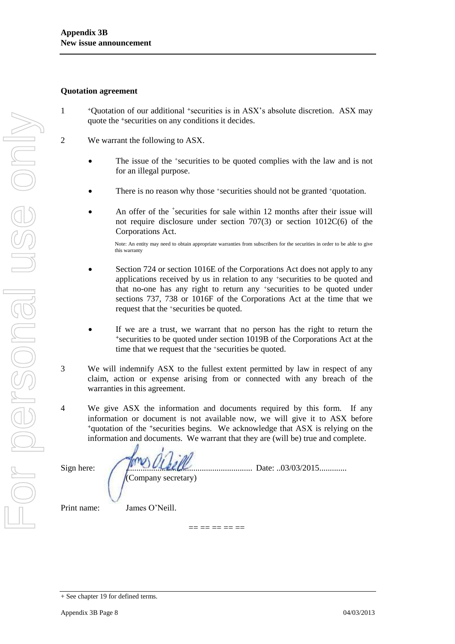#### **Quotation agreement**

- 1 <sup>+</sup>Quotation of our additional +securities is in ASX's absolute discretion. ASX may quote the +securities on any conditions it decides.
- 2 We warrant the following to ASX.
	- The issue of the +securities to be quoted complies with the law and is not for an illegal purpose.
	- There is no reason why those +securities should not be granted +quotation.
	- An offer of the <sup>+</sup>securities for sale within 12 months after their issue will not require disclosure under section 707(3) or section 1012C(6) of the Corporations Act.

Note: An entity may need to obtain appropriate warranties from subscribers for the securities in order to be able to give this warranty

- Section 724 or section 1016E of the Corporations Act does not apply to any applications received by us in relation to any +securities to be quoted and that no-one has any right to return any +securities to be quoted under sections 737, 738 or 1016F of the Corporations Act at the time that we request that the +securities be quoted.
- If we are a trust, we warrant that no person has the right to return the <sup>+</sup>securities to be quoted under section 1019B of the Corporations Act at the time that we request that the +securities be quoted.
- 3 We will indemnify ASX to the fullest extent permitted by law in respect of any claim, action or expense arising from or connected with any breach of the warranties in this agreement.
- 4 We give ASX the information and documents required by this form. If any information or document is not available now, we will give it to ASX before <sup>+</sup>quotation of the +securities begins. We acknowledge that ASX is relying on the information and documents. We warrant that they are (will be) true and complete.

 $=$   $=$   $=$   $=$   $=$   $=$ 

Sign here:  $\int \int_0^{\infty} \sqrt{U(L)} \, dL}$ (Company secretary)

Print name: James O'Neill.

<sup>+</sup> See chapter 19 for defined terms.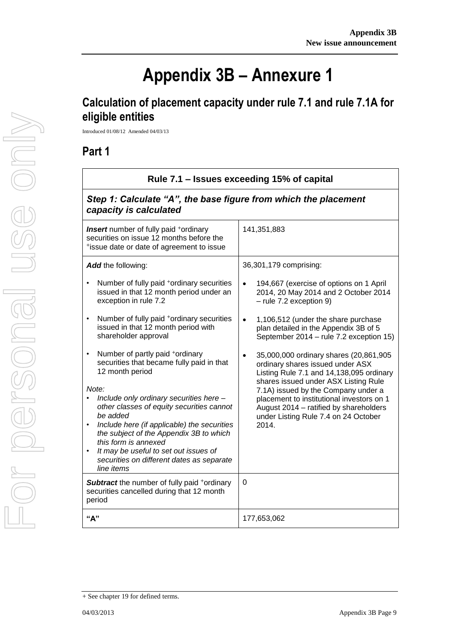## **Appendix 3B – Annexure 1**

## **Calculation of placement capacity under rule 7.1 and rule 7.1A for eligible entities**

Introduced 01/08/12 Amended 04/03/13

### **Part 1**

| Rule 7.1 – Issues exceeding 15% of capital<br>Step 1: Calculate "A", the base figure from which the placement<br>capacity is calculated                                                                                                     |                                                                                                                                                                                                                                                    |  |
|---------------------------------------------------------------------------------------------------------------------------------------------------------------------------------------------------------------------------------------------|----------------------------------------------------------------------------------------------------------------------------------------------------------------------------------------------------------------------------------------------------|--|
|                                                                                                                                                                                                                                             |                                                                                                                                                                                                                                                    |  |
| Add the following:                                                                                                                                                                                                                          | 36,301,179 comprising:                                                                                                                                                                                                                             |  |
| Number of fully paid <sup>+</sup> ordinary securities<br>$\bullet$<br>issued in that 12 month period under an<br>exception in rule 7.2                                                                                                      | 194,667 (exercise of options on 1 April<br>$\bullet$<br>2014, 20 May 2014 and 2 October 2014<br>- rule 7.2 exception 9)                                                                                                                            |  |
| Number of fully paid <sup>+</sup> ordinary securities<br>issued in that 12 month period with<br>shareholder approval                                                                                                                        | 1,106,512 (under the share purchase<br>$\bullet$<br>plan detailed in the Appendix 3B of 5<br>September 2014 - rule 7.2 exception 15)                                                                                                               |  |
| Number of partly paid +ordinary<br>$\bullet$<br>securities that became fully paid in that<br>12 month period<br>Note:<br>Include only ordinary securities here -<br>other classes of equity securities cannot                               | 35,000,000 ordinary shares (20,861,905<br>ordinary shares issued under ASX<br>Listing Rule 7.1 and 14,138,095 ordinary<br>shares issued under ASX Listing Rule<br>7.1A) issued by the Company under a<br>placement to institutional investors on 1 |  |
| be added<br>$\bullet$<br>Include here (if applicable) the securities<br>the subject of the Appendix 3B to which<br>this form is annexed<br>It may be useful to set out issues of<br>securities on different dates as separate<br>line items | August 2014 - ratified by shareholders<br>under Listing Rule 7.4 on 24 October<br>2014.                                                                                                                                                            |  |
| Subtract the number of fully paid +ordinary<br>securities cancelled during that 12 month<br>period                                                                                                                                          | $\mathbf 0$                                                                                                                                                                                                                                        |  |
| "А"                                                                                                                                                                                                                                         | 177,653,062                                                                                                                                                                                                                                        |  |

<sup>+</sup> See chapter 19 for defined terms.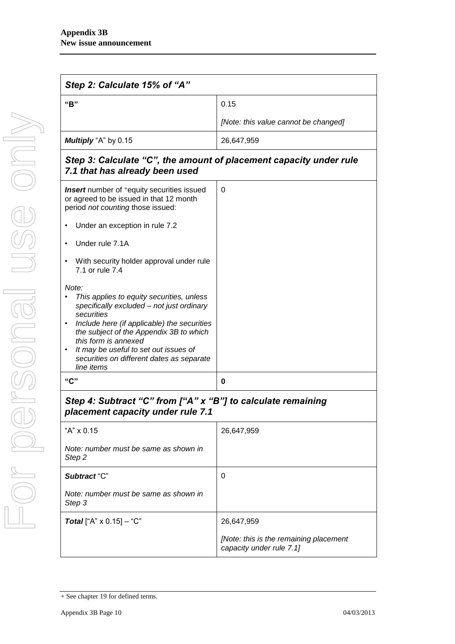| Step 2: Calculate 15% of "A"                                                                                                                                                                                                                                                                                                        |                                                                    |  |
|-------------------------------------------------------------------------------------------------------------------------------------------------------------------------------------------------------------------------------------------------------------------------------------------------------------------------------------|--------------------------------------------------------------------|--|
| "B"                                                                                                                                                                                                                                                                                                                                 | 0.15                                                               |  |
|                                                                                                                                                                                                                                                                                                                                     | [Note: this value cannot be changed]                               |  |
| Multiply "A" by 0.15                                                                                                                                                                                                                                                                                                                | 26,647,959                                                         |  |
| Step 3: Calculate "C", the amount of placement capacity under rule<br>7.1 that has already been used                                                                                                                                                                                                                                |                                                                    |  |
| <b>Insert</b> number of <sup>+</sup> equity securities issued<br>or agreed to be issued in that 12 month<br>period not counting those issued:                                                                                                                                                                                       | 0                                                                  |  |
| Under an exception in rule 7.2                                                                                                                                                                                                                                                                                                      |                                                                    |  |
| Under rule 7.1A<br>$\bullet$                                                                                                                                                                                                                                                                                                        |                                                                    |  |
| With security holder approval under rule<br>٠<br>7.1 or rule 7.4                                                                                                                                                                                                                                                                    |                                                                    |  |
| Note:<br>This applies to equity securities, unless<br>specifically excluded - not just ordinary<br>securities<br>Include here (if applicable) the securities<br>the subject of the Appendix 3B to which<br>this form is annexed<br>It may be useful to set out issues of<br>securities on different dates as separate<br>line items |                                                                    |  |
| "C"                                                                                                                                                                                                                                                                                                                                 | 0                                                                  |  |
| Step 4: Subtract "C" from ["A" x "B"] to calculate remaining<br>placement capacity under rule 7.1                                                                                                                                                                                                                                   |                                                                    |  |
| "A" x 0.15                                                                                                                                                                                                                                                                                                                          | 26,647,959                                                         |  |
| Note: number must be same as shown in<br>Step 2                                                                                                                                                                                                                                                                                     |                                                                    |  |
| Subtract "C"                                                                                                                                                                                                                                                                                                                        | 0                                                                  |  |
| Note: number must be same as shown in<br>Step 3                                                                                                                                                                                                                                                                                     |                                                                    |  |
| <b>Total</b> ["A" $\times$ 0.15] – "C"                                                                                                                                                                                                                                                                                              | 26,647,959                                                         |  |
|                                                                                                                                                                                                                                                                                                                                     | [Note: this is the remaining placement<br>capacity under rule 7.1] |  |

<sup>+</sup> See chapter 19 for defined terms.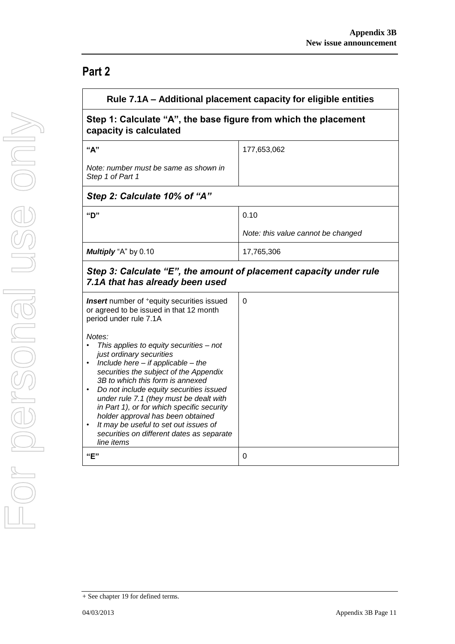### **Part 2**

|                                                                                                                                    | Rule 7.1A – Additional placement capacity for eligible entities |  |
|------------------------------------------------------------------------------------------------------------------------------------|-----------------------------------------------------------------|--|
| Step 1: Calculate "A", the base figure from which the placement<br>capacity is calculated                                          |                                                                 |  |
| "A"                                                                                                                                | 177,653,062                                                     |  |
| Note: number must be same as shown in<br>Step 1 of Part 1                                                                          |                                                                 |  |
| Step 2: Calculate 10% of "A"                                                                                                       |                                                                 |  |
| "D"                                                                                                                                | 0.10                                                            |  |
|                                                                                                                                    | Note: this value cannot be changed                              |  |
| Multiply "A" by 0.10                                                                                                               | 17,765,306                                                      |  |
| Step 3: Calculate "E", the amount of placement capacity under rule<br>7.1A that has already been used                              |                                                                 |  |
| <b>Insert</b> number of <sup>+</sup> equity securities issued<br>or agreed to be issued in that 12 month<br>period under rule 7.1A | 0                                                               |  |
| Notes:<br>This applies to equity securities - not                                                                                  |                                                                 |  |
| just ordinary securities<br>Include here $-$ if applicable $-$ the<br>$\bullet$                                                    |                                                                 |  |
| securities the subject of the Appendix<br>3B to which this form is annexed                                                         |                                                                 |  |
| Do not include equity securities issued<br>under rule 7.1 (they must be dealt with                                                 |                                                                 |  |
| in Part 1), or for which specific security<br>holder approval has been obtained                                                    |                                                                 |  |
| It may be useful to set out issues of                                                                                              |                                                                 |  |
| securities on different dates as separate<br>line items                                                                            |                                                                 |  |
| "E"                                                                                                                                | 0                                                               |  |

<sup>+</sup> See chapter 19 for defined terms.